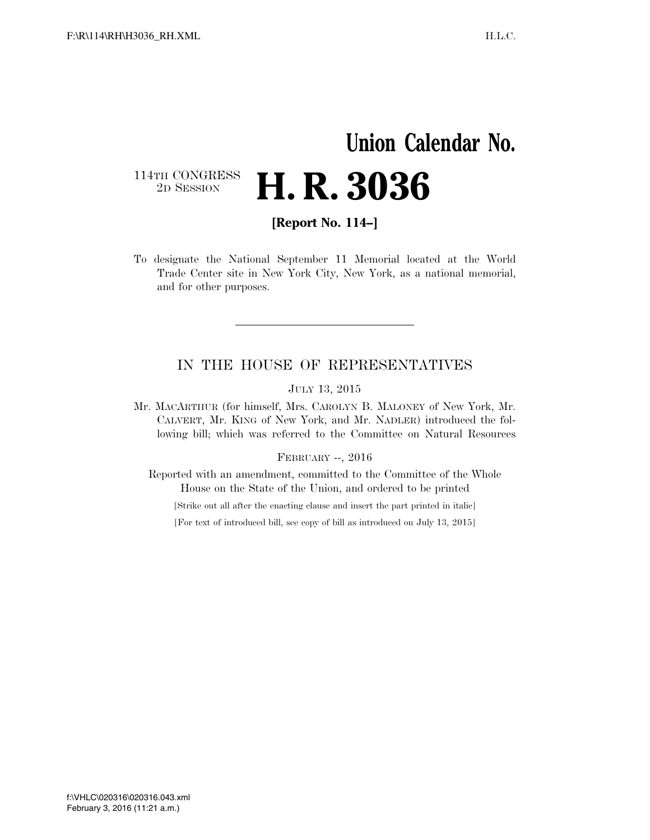## **Union Calendar No.**  114TH CONGRESS<br>2D SESSION 2D SESSION **H. R. 3036**

**[Report No. 114–]** 

To designate the National September 11 Memorial located at the World Trade Center site in New York City, New York, as a national memorial, and for other purposes.

### IN THE HOUSE OF REPRESENTATIVES

JULY 13, 2015

Mr. MACARTHUR (for himself, Mrs. CAROLYN B. MALONEY of New York, Mr. CALVERT, Mr. KING of New York, and Mr. NADLER) introduced the following bill; which was referred to the Committee on Natural Resources

#### FEBRUARY --, 2016

Reported with an amendment, committed to the Committee of the Whole House on the State of the Union, and ordered to be printed

[Strike out all after the enacting clause and insert the part printed in italic]

[For text of introduced bill, see copy of bill as introduced on July 13, 2015]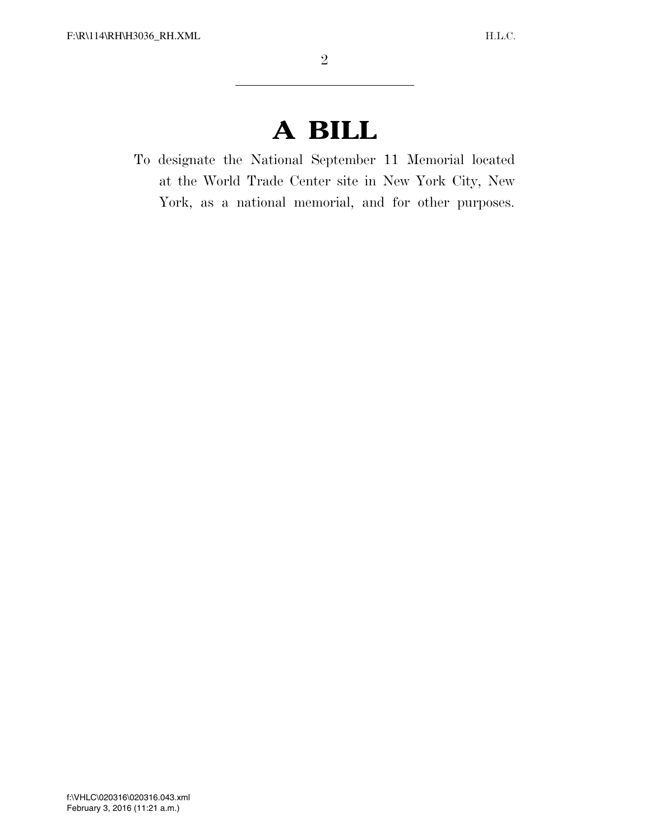# **A BILL**

To designate the National September 11 Memorial located at the World Trade Center site in New York City, New York, as a national memorial, and for other purposes.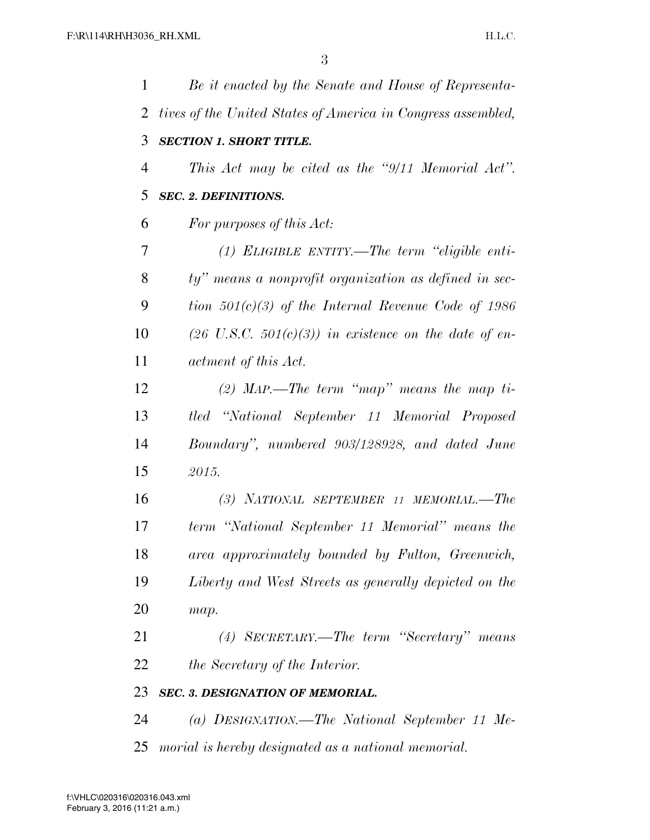| 1  | Be it enacted by the Senate and House of Representa-             |
|----|------------------------------------------------------------------|
| 2  | tives of the United States of America in Congress assembled,     |
| 3  | <b>SECTION 1. SHORT TITLE.</b>                                   |
| 4  | This Act may be cited as the "9/11 Memorial Act".                |
| 5  | <b>SEC. 2. DEFINITIONS.</b>                                      |
| 6  | For purposes of this Act:                                        |
| 7  | $(1)$ ELIGIBLE ENTITY.—The term "eligible enti-                  |
| 8  | ty" means a nonprofit organization as defined in sec-            |
| 9  | tion $501(c)(3)$ of the Internal Revenue Code of 1986            |
| 10 | $(26 \text{ U.S.C. } 501(c)(3))$ in existence on the date of en- |
| 11 | actment of this Act.                                             |
| 12 | (2) MAP.—The term "map" means the map ti-                        |
| 13 | tled "National September 11 Memorial Proposed                    |
| 14 | Boundary", numbered 903/128928, and dated June                   |
| 15 | 2015.                                                            |
| 16 | (3) NATIONAL SEPTEMBER 11 MEMORIAL.-The                          |
| 17 | term "National September 11 Memorial" means the                  |
| 18 | area approximately bounded by Fulton, Greenwich,                 |
| 19 | Liberty and West Streets as generally depicted on the            |
| 20 | map.                                                             |
| 21 | $(4)$ SECRETARY.—The term "Secretary" means                      |
| 22 | the Secretary of the Interior.                                   |
| 23 | SEC. 3. DESIGNATION OF MEMORIAL.                                 |
| 24 | (a) DESIGNATION.—The National September 11 Me-                   |
| 25 | morial is hereby designated as a national memorial.              |
|    |                                                                  |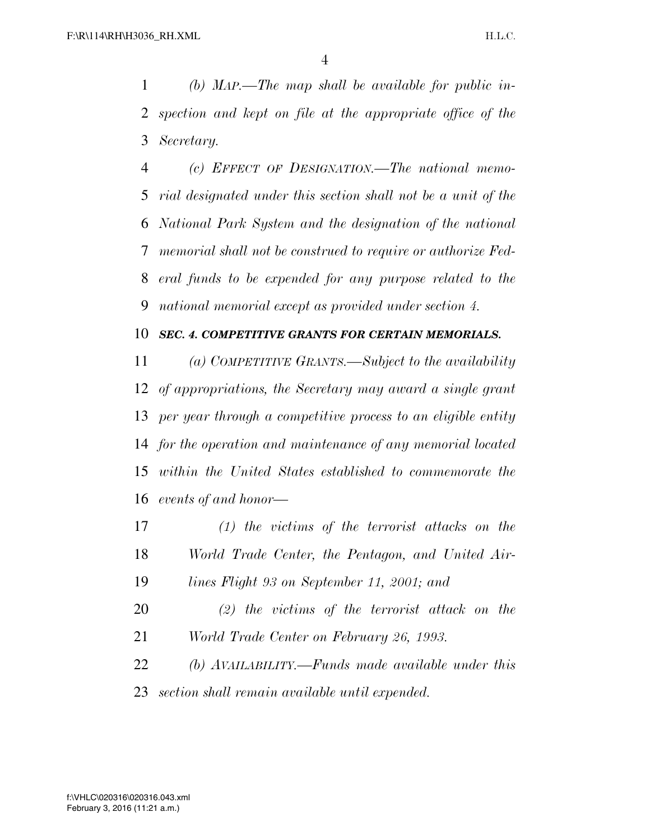*(b) MAP.—The map shall be available for public in- spection and kept on file at the appropriate office of the Secretary.* 

 *(c) EFFECT OF DESIGNATION.—The national memo- rial designated under this section shall not be a unit of the National Park System and the designation of the national memorial shall not be construed to require or authorize Fed- eral funds to be expended for any purpose related to the national memorial except as provided under section 4.* 

### *SEC. 4. COMPETITIVE GRANTS FOR CERTAIN MEMORIALS.*

 *(a) COMPETITIVE GRANTS.—Subject to the availability of appropriations, the Secretary may award a single grant per year through a competitive process to an eligible entity for the operation and maintenance of any memorial located within the United States established to commemorate the events of and honor—* 

 *(1) the victims of the terrorist attacks on the World Trade Center, the Pentagon, and United Air-lines Flight 93 on September 11, 2001; and* 

*(2) the victims of the terrorist attack on the* 

*World Trade Center on February 26, 1993.* 

 *(b) AVAILABILITY.—Funds made available under this section shall remain available until expended.*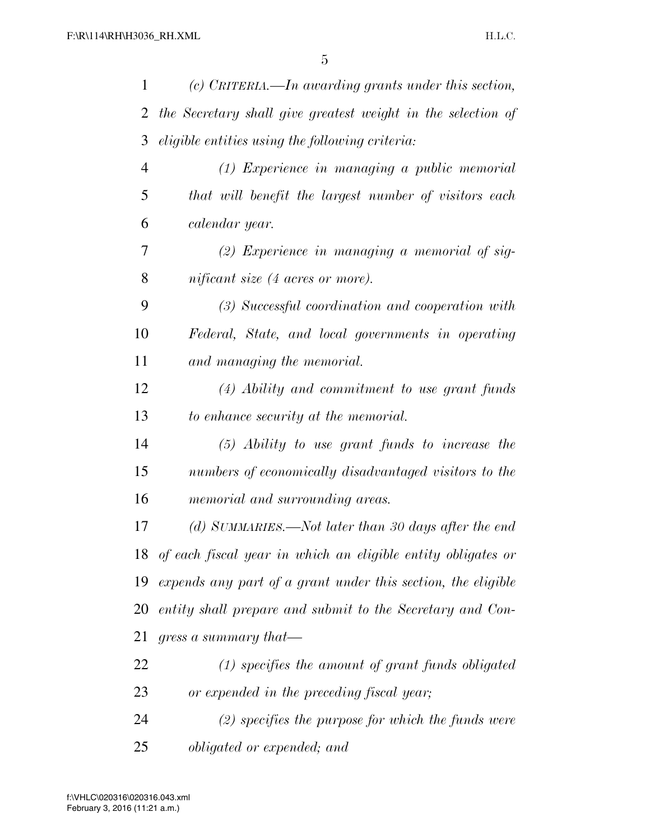| 1  | (c) CRITERIA.—In awarding grants under this section,         |
|----|--------------------------------------------------------------|
| 2  | the Secretary shall give greatest weight in the selection of |
| 3  | eligible entities using the following criteria:              |
| 4  | $(1)$ Experience in managing a public memorial               |
| 5  | that will benefit the largest number of visitors each        |
| 6  | calendar year.                                               |
| 7  | $(2)$ Experience in managing a memorial of sig-              |
| 8  | nificant size (4 acres or more).                             |
| 9  | (3) Successful coordination and cooperation with             |
| 10 | Federal, State, and local governments in operating           |
| 11 | and managing the memorial.                                   |
| 12 | $(4)$ Ability and commitment to use grant funds              |
| 13 | to enhance security at the memorial.                         |
| 14 | $(5)$ Ability to use grant funds to increase the             |
| 15 | numbers of economically disadvantaged visitors to the        |
| 16 | memorial and surrounding areas.                              |
| 17 | (d) SUMMARIES.—Not later than 30 days after the end          |
| 18 | of each fiscal year in which an eligible entity obligates or |
| 19 | expends any part of a grant under this section, the eligible |
| 20 | entity shall prepare and submit to the Secretary and Con-    |
| 21 | gress a summary that—                                        |
| 22 | $(1)$ specifies the amount of grant funds obligated          |
| 23 | or expended in the preceding fiscal year;                    |
| 24 | $(2)$ specifies the purpose for which the funds were         |
| 25 | <i>obligated or expended; and</i>                            |